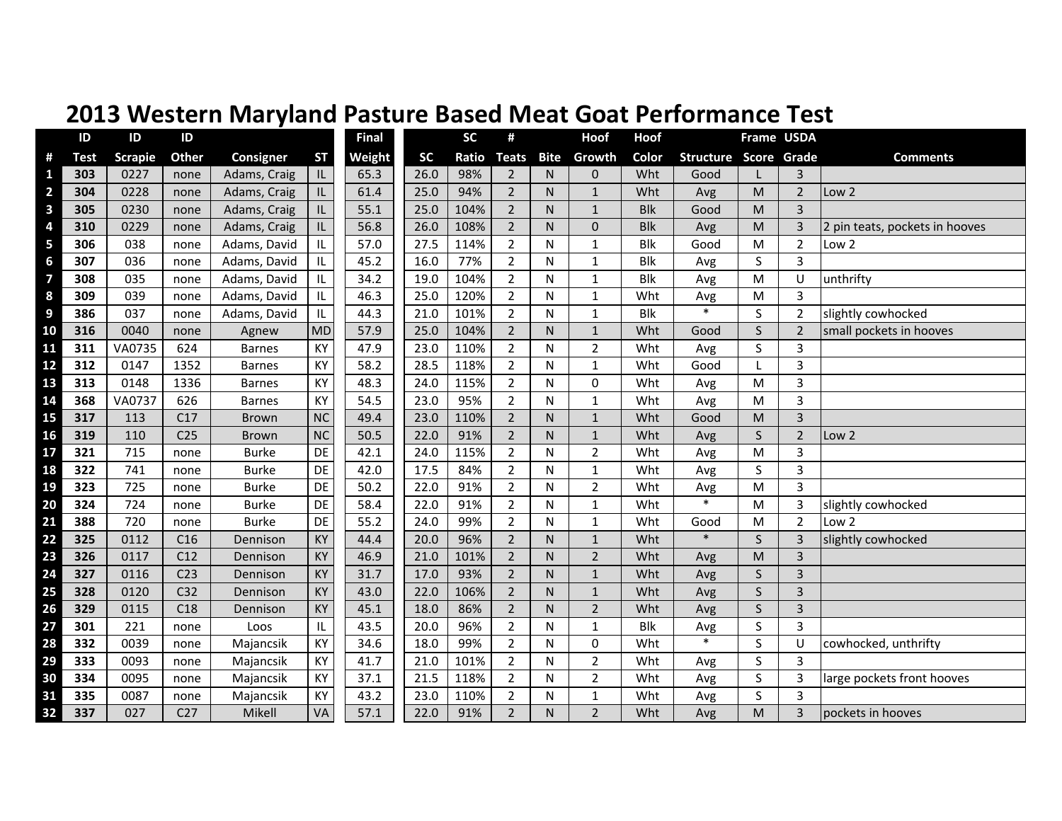|                         | ID          | ID             | ID              |               |                                   | <b>Final</b> |           | <b>SC</b> | #              |                         | Hoof           | Hoof       |                              |         | Frame USDA              |                                |
|-------------------------|-------------|----------------|-----------------|---------------|-----------------------------------|--------------|-----------|-----------|----------------|-------------------------|----------------|------------|------------------------------|---------|-------------------------|--------------------------------|
| #                       | <b>Test</b> | <b>Scrapie</b> | Other           | Consigner     | <b>ST</b>                         | Weight       | <b>SC</b> | Ratio     | <b>Teats</b>   | <b>Bite</b>             | Growth         | Color      | <b>Structure Score Grade</b> |         |                         | <b>Comments</b>                |
| 1                       | 303         | 0227           | none            | Adams, Craig  | $\ensuremath{\mathsf{IL}}\xspace$ | 65.3         | 26.0      | 98%       | $\overline{2}$ | N                       | 0              | Wht        | Good                         |         | 3                       |                                |
| $\overline{\mathbf{c}}$ | 304         | 0228           | none            | Adams, Craig  | IL                                | 61.4         | 25.0      | 94%       | $\overline{2}$ | $\mathsf{N}$            | $\mathbf{1}$   | Wht        | Avg                          | M       | $\overline{2}$          | Low <sub>2</sub>               |
| 3                       | 305         | 0230           | none            | Adams, Craig  | IL.                               | 55.1         | 25.0      | 104%      | $\overline{2}$ | $\mathsf{N}$            | $\mathbf{1}$   | <b>Blk</b> | Good                         | M       | 3                       |                                |
| 4                       | 310         | 0229           | none            | Adams, Craig  | IL.                               | 56.8         | 26.0      | 108%      | $\overline{2}$ | N                       | $\overline{0}$ | <b>Blk</b> | Avg                          | M       | $\overline{3}$          | 2 pin teats, pockets in hooves |
| 5                       | 306         | 038            | none            | Adams, David  | IL.                               | 57.0         | 27.5      | 114%      | $\overline{2}$ | N                       | $\mathbf{1}$   | <b>Blk</b> | Good                         | M       | $\overline{2}$          | Low 2                          |
| $6\phantom{1}$          | 307         | 036            | none            | Adams, David  | IL.                               | 45.2         | 16.0      | 77%       | $\overline{2}$ | N                       | $\mathbf{1}$   | <b>Blk</b> | Avg                          | S       | $\overline{3}$          |                                |
| $\overline{\mathbf{z}}$ | 308         | 035            | none            | Adams, David  | IL                                | 34.2         | 19.0      | 104%      | $\overline{2}$ | N                       | $\mathbf 1$    | <b>Blk</b> | Avg                          | M       | U                       | unthrifty                      |
| 8                       | 309         | 039            | none            | Adams, David  | IL                                | 46.3         | 25.0      | 120%      | $\overline{2}$ | N                       | 1              | Wht        | Avg                          | M       | 3                       |                                |
| 9                       | 386         | 037            | none            | Adams, David  | IL                                | 44.3         | 21.0      | 101%      | $\overline{2}$ | N                       | $\mathbf{1}$   | <b>Blk</b> | $\ast$                       | S       | $\overline{2}$          | slightly cowhocked             |
| 10                      | 316         | 0040           | none            | Agnew         | <b>MD</b>                         | 57.9         | 25.0      | 104%      | $\overline{2}$ | $\mathsf{N}$            | $\mathbf{1}$   | Wht        | Good                         | S       | $\overline{2}$          | small pockets in hooves        |
| 11                      | 311         | VA0735         | 624             | <b>Barnes</b> | KY                                | 47.9         | 23.0      | 110%      | $\overline{2}$ | N                       | $\overline{2}$ | Wht        | Avg                          | S       | 3                       |                                |
| 12                      | 312         | 0147           | 1352            | <b>Barnes</b> | KY                                | 58.2         | 28.5      | 118%      | $\overline{2}$ | N                       | $\mathbf{1}$   | Wht        | Good                         |         | 3                       |                                |
| 13                      | 313         | 0148           | 1336            | <b>Barnes</b> | KY                                | 48.3         | 24.0      | 115%      | $\overline{2}$ | N                       | 0              | Wht        | Avg                          | M       | 3                       |                                |
| 14                      | 368         | VA0737         | 626             | <b>Barnes</b> | KY                                | 54.5         | 23.0      | 95%       | $\overline{2}$ | $\overline{\mathsf{N}}$ | $\mathbf{1}$   | Wht        | Avg                          | M       | 3                       |                                |
| 15                      | 317         | 113            | C17             | <b>Brown</b>  | <b>NC</b>                         | 49.4         | 23.0      | 110%      | $\overline{2}$ | N                       | $\mathbf{1}$   | Wht        | Good                         | M       | $\overline{3}$          |                                |
| 16                      | 319         | 110            | C <sub>25</sub> | <b>Brown</b>  | <b>NC</b>                         | 50.5         | 22.0      | 91%       | $\overline{2}$ | N                       | $\mathbf{1}$   | Wht        | Avg                          | S       | $\overline{2}$          | Low 2                          |
| 17                      | 321         | 715            | none            | <b>Burke</b>  | DE                                | 42.1         | 24.0      | 115%      | $\overline{2}$ | N                       | $\overline{2}$ | Wht        | Avg                          | M       | 3                       |                                |
| 18                      | 322         | 741            | none            | <b>Burke</b>  | DE                                | 42.0         | 17.5      | 84%       | $\overline{2}$ | N                       | $\mathbf{1}$   | Wht        | Avg                          | $\sf S$ | 3                       |                                |
| 19                      | 323         | 725            | none            | <b>Burke</b>  | <b>DE</b>                         | 50.2         | 22.0      | 91%       | $\overline{2}$ | N                       | $\overline{2}$ | Wht        | Avg                          | M       | 3                       |                                |
| 20                      | 324         | 724            | none            | <b>Burke</b>  | DE                                | 58.4         | 22.0      | 91%       | $\overline{2}$ | N                       | $\mathbf{1}$   | Wht        | $\ast$                       | M       | 3                       | slightly cowhocked             |
| 21                      | 388         | 720            | none            | <b>Burke</b>  | DE                                | 55.2         | 24.0      | 99%       | $\overline{2}$ | N                       | $\mathbf{1}$   | Wht        | Good                         | M       | $\overline{2}$          | Low 2                          |
| 22                      | 325         | 0112           | C16             | Dennison      | KY                                | 44.4         | 20.0      | 96%       | $\overline{2}$ | $\mathsf{N}$            | $\mathbf{1}$   | Wht        | $\ast$                       | S       | 3                       | slightly cowhocked             |
| 23                      | 326         | 0117           | C12             | Dennison      | KY                                | 46.9         | 21.0      | 101%      | $\overline{2}$ | N                       | $\overline{2}$ | Wht        | Avg                          | M       | $\overline{3}$          |                                |
| 24                      | 327         | 0116           | C <sub>23</sub> | Dennison      | KY                                | 31.7         | 17.0      | 93%       | $\overline{2}$ | $\mathsf{N}$            | $\mathbf 1$    | Wht        | Avg                          | $\sf S$ | $\overline{\mathbf{3}}$ |                                |
| 25                      | 328         | 0120           | C <sub>32</sub> | Dennison      | KY                                | 43.0         | 22.0      | 106%      | $\overline{2}$ | $\mathsf{N}$            | $\mathbf{1}$   | Wht        | Avg                          | $\sf S$ | 3                       |                                |
| 26                      | 329         | 0115           | C18             | Dennison      | KY                                | 45.1         | 18.0      | 86%       | $\overline{2}$ | $\mathsf{N}$            | $\overline{2}$ | Wht        | Avg                          | S       | $\overline{3}$          |                                |
| 27                      | 301         | 221            | none            | Loos          | IL                                | 43.5         | 20.0      | 96%       | $\overline{2}$ | N                       | $\mathbf{1}$   | <b>Blk</b> | Avg                          | S       | 3                       |                                |
| 28                      | 332         | 0039           | none            | Majancsik     | KY                                | 34.6         | 18.0      | 99%       | $\overline{2}$ | N                       | $\mathbf 0$    | Wht        | $\ast$                       | S       | U                       | cowhocked, unthrifty           |
| 29                      | 333         | 0093           | none            | Majancsik     | KY                                | 41.7         | 21.0      | 101%      | $\overline{2}$ | N                       | $\overline{2}$ | Wht        | Avg                          | S       | 3                       |                                |
| 30                      | 334         | 0095           | none            | Majancsik     | KY                                | 37.1         | 21.5      | 118%      | $\overline{2}$ | N                       | $\overline{2}$ | Wht        | Avg                          | S       | 3                       | large pockets front hooves     |
| 31                      | 335         | 0087           | none            | Majancsik     | KY                                | 43.2         | 23.0      | 110%      | $\overline{2}$ | N                       | 1              | Wht        | Avg                          | $\sf S$ | $\overline{3}$          |                                |
| 32                      | 337         | 027            | C <sub>27</sub> | Mikell        | VA                                | 57.1         | 22.0      | 91%       | $\overline{2}$ | $\mathsf{N}$            | $\overline{2}$ | Wht        | Avg                          | M       | 3                       | pockets in hooves              |

## **2013 Western Maryland Pasture Based Meat Goat Performance Test**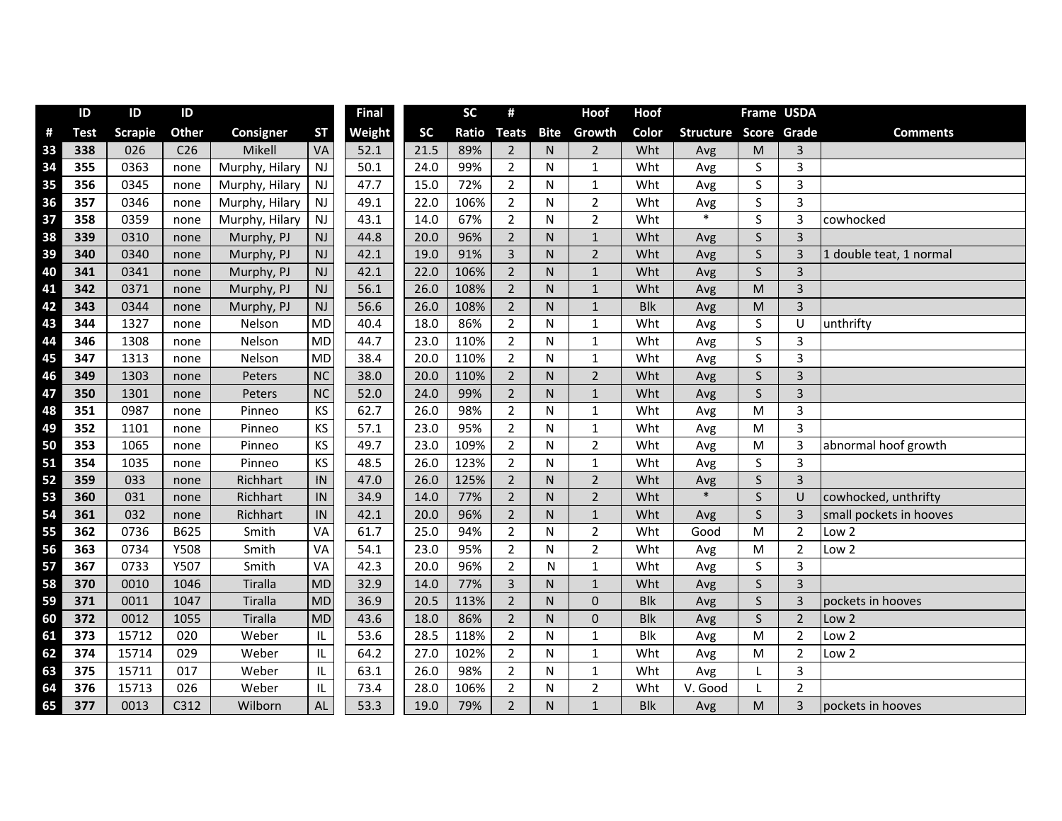|    | ID          | ID             | ID              |                |           | <b>Final</b> |           | <b>SC</b>    | #              |              | <b>Hoof</b>    | Hoof       |                  | Frame USDA   |                |                         |
|----|-------------|----------------|-----------------|----------------|-----------|--------------|-----------|--------------|----------------|--------------|----------------|------------|------------------|--------------|----------------|-------------------------|
| #  | <b>Test</b> | <b>Scrapie</b> | <b>Other</b>    | Consigner      | <b>ST</b> | Weight       | <b>SC</b> | <b>Ratio</b> | <b>Teats</b>   | <b>Bite</b>  | Growth         | Color      | <b>Structure</b> |              | Score Grade    | <b>Comments</b>         |
| 33 | 338         | 026            | C <sub>26</sub> | Mikell         | VA        | 52.1         | 21.5      | 89%          | $\overline{2}$ | N            | $\overline{2}$ | Wht        | Avg              | M            | $\overline{3}$ |                         |
| 34 | 355         | 0363           | none            | Murphy, Hilary | <b>NJ</b> | 50.1         | 24.0      | 99%          | $\overline{2}$ | N            | 1              | Wht        | Avg              | S            | $\overline{3}$ |                         |
| 35 | 356         | 0345           | none            | Murphy, Hilary | <b>NJ</b> | 47.7         | 15.0      | 72%          | $\overline{2}$ | N            | 1              | Wht        | Avg              | S            | 3              |                         |
| 36 | 357         | 0346           | none            | Murphy, Hilary | NJ        | 49.1         | 22.0      | 106%         | $\overline{2}$ | N            | $\overline{2}$ | Wht        | Avg              | S            | $\overline{3}$ |                         |
| 37 | 358         | 0359           | none            | Murphy, Hilary | NJ        | 43.1         | 14.0      | 67%          | $\overline{2}$ | $\mathsf{N}$ | $\overline{2}$ | Wht        | $\ast$           | S            | $\overline{3}$ | cowhocked               |
| 38 | 339         | 0310           | none            | Murphy, PJ     | NJ        | 44.8         | 20.0      | 96%          | $\overline{2}$ | $\mathsf{N}$ | $\mathbf{1}$   | Wht        | Avg              | $\sf S$      | $\overline{3}$ |                         |
| 39 | 340         | 0340           | none            | Murphy, PJ     | NJ        | 42.1         | 19.0      | 91%          | $\overline{3}$ | $\mathsf{N}$ | $\overline{2}$ | Wht        | Avg              | S            | $\overline{3}$ | 1 double teat, 1 normal |
| 40 | 341         | 0341           | none            | Murphy, PJ     | NJ        | 42.1         | 22.0      | 106%         | $\overline{2}$ | ${\sf N}$    | $\mathbf 1$    | Wht        | Avg              | $\sf S$      | $\overline{3}$ |                         |
| 41 | 342         | 0371           | none            | Murphy, PJ     | NJ        | 56.1         | 26.0      | 108%         | $2^{\circ}$    | $\mathsf{N}$ | $1\,$          | Wht        | Avg              | M            | $\overline{3}$ |                         |
| 42 | 343         | 0344           | none            | Murphy, PJ     | NJ        | 56.6         | 26.0      | 108%         | $\overline{2}$ | $\mathsf{N}$ | $\mathbf{1}$   | <b>Blk</b> | Avg              | M            | $\overline{3}$ |                         |
| 43 | 344         | 1327           | none            | Nelson         | <b>MD</b> | 40.4         | 18.0      | 86%          | $\overline{2}$ | $\mathsf{N}$ | $1\,$          | Wht        | Avg              | S            | U              | unthrifty               |
| 44 | 346         | 1308           | none            | Nelson         | <b>MD</b> | 44.7         | 23.0      | 110%         | $\overline{2}$ | N            | $\mathbf{1}$   | Wht        | Avg              | S            | $\overline{3}$ |                         |
| 45 | 347         | 1313           | none            | Nelson         | <b>MD</b> | 38.4         | 20.0      | 110%         | $\overline{2}$ | ${\sf N}$    | $1\,$          | Wht        | Avg              | S            | 3              |                         |
| 46 | 349         | 1303           | none            | Peters         | NC        | 38.0         | 20.0      | 110%         | $\overline{2}$ | $\mathsf{N}$ | $\overline{2}$ | Wht        | Avg              | $\mathsf{S}$ | $\overline{3}$ |                         |
| 47 | 350         | 1301           | none            | Peters         | NC        | 52.0         | 24.0      | 99%          | $\overline{2}$ | $\mathsf{N}$ | $\mathbf 1$    | Wht        | Avg              | S            | $\overline{3}$ |                         |
| 48 | 351         | 0987           | none            | Pinneo         | KS        | 62.7         | 26.0      | 98%          | $\overline{2}$ | ${\sf N}$    | $\mathbf 1$    | Wht        | Avg              | M            | $\overline{3}$ |                         |
| 49 | 352         | 1101           | none            | Pinneo         | KS        | 57.1         | 23.0      | 95%          | $\overline{2}$ | N            | $\mathbf{1}$   | Wht        | Avg              | M            | $\overline{3}$ |                         |
| 50 | 353         | 1065           | none            | Pinneo         | KS        | 49.7         | 23.0      | 109%         | $\overline{2}$ | N            | $\overline{2}$ | Wht        | Avg              | M            | 3              | abnormal hoof growth    |
| 51 | 354         | 1035           | none            | Pinneo         | KS        | 48.5         | 26.0      | 123%         | $\overline{2}$ | N            | $\mathbf{1}$   | Wht        | Avg              | S            | $\overline{3}$ |                         |
| 52 | 359         | 033            | none            | Richhart       | IN        | 47.0         | 26.0      | 125%         | $\overline{2}$ | $\mathsf{N}$ | $\overline{2}$ | Wht        | Avg              | S            | $\overline{3}$ |                         |
| 53 | 360         | 031            | none            | Richhart       | IN        | 34.9         | 14.0      | 77%          | $\overline{2}$ | $\mathsf{N}$ | $\overline{2}$ | Wht        | $\ast$           | $\mathsf{S}$ | U              | cowhocked, unthrifty    |
| 54 | 361         | 032            | none            | Richhart       | IN        | 42.1         | 20.0      | 96%          | $\overline{2}$ | $\mathsf{N}$ | $\mathbf{1}$   | Wht        | Avg              | S            | $\overline{3}$ | small pockets in hooves |
| 55 | 362         | 0736           | B625            | Smith          | VA        | 61.7         | 25.0      | 94%          | $\overline{2}$ | N            | $\overline{2}$ | Wht        | Good             | M            | $\overline{2}$ | Low <sub>2</sub>        |
| 56 | 363         | 0734           | Y508            | Smith          | VA        | 54.1         | 23.0      | 95%          | $\overline{2}$ | ${\sf N}$    | $\overline{2}$ | Wht        | Avg              | ${\sf M}$    | $\overline{2}$ | Low 2                   |
| 57 | 367         | 0733           | Y507            | Smith          | VA        | 42.3         | 20.0      | 96%          | $\overline{2}$ | N            | $\mathbf 1$    | Wht        | Avg              | S            | $\overline{3}$ |                         |
| 58 | 370         | 0010           | 1046            | Tiralla        | <b>MD</b> | 32.9         | 14.0      | 77%          | $\overline{3}$ | N            | $\mathbf 1$    | Wht        | Avg              | $\sf S$      | $\overline{3}$ |                         |
| 59 | 371         | 0011           | 1047            | Tiralla        | <b>MD</b> | 36.9         | 20.5      | 113%         | $\overline{2}$ | $\mathsf{N}$ | $\pmb{0}$      | <b>Blk</b> | Avg              | S            | $\overline{3}$ | pockets in hooves       |
| 60 | 372         | 0012           | 1055            | Tiralla        | <b>MD</b> | 43.6         | 18.0      | 86%          | $\overline{2}$ | $\mathsf{N}$ | $\pmb{0}$      | <b>Blk</b> | Avg              | S            | $\overline{2}$ | Low <sub>2</sub>        |
| 61 | 373         | 15712          | 020             | Weber          | IL.       | 53.6         | 28.5      | 118%         | $\overline{2}$ | $\mathsf{N}$ | $\mathbf{1}$   | <b>Blk</b> | Avg              | M            | $\overline{2}$ | Low <sub>2</sub>        |
| 62 | 374         | 15714          | 029             | Weber          | IL        | 64.2         | 27.0      | 102%         | $\overline{2}$ | N            | $\mathbf{1}$   | Wht        | Avg              | M            | $\overline{2}$ | Low 2                   |
| 63 | 375         | 15711          | 017             | Weber          | IL        | 63.1         | 26.0      | 98%          | $\overline{2}$ | N            | $\mathbf{1}$   | Wht        | Avg              |              | $\overline{3}$ |                         |
| 64 | 376         | 15713          | 026             | Weber          | IL.       | 73.4         | 28.0      | 106%         | $\overline{2}$ | N            | $\overline{2}$ | Wht        | V. Good          | L            | $\overline{2}$ |                         |
| 65 | 377         | 0013           | C312            | Wilborn        | AL        | 53.3         | 19.0      | 79%          | $\overline{2}$ | N            | $\mathbf{1}$   | <b>Blk</b> | Avg              | M            | $\overline{3}$ | pockets in hooves       |